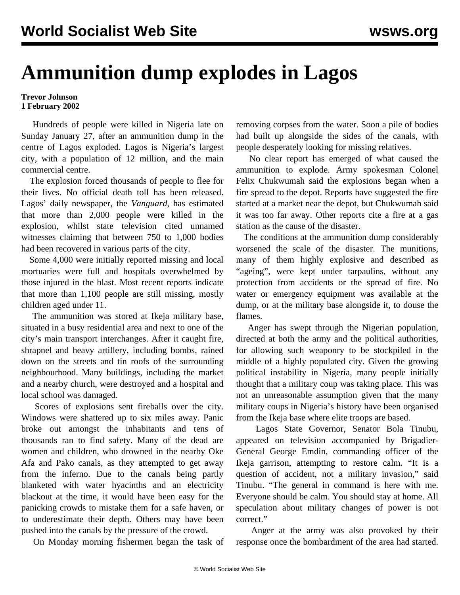## **Ammunition dump explodes in Lagos**

## **Trevor Johnson 1 February 2002**

 Hundreds of people were killed in Nigeria late on Sunday January 27, after an ammunition dump in the centre of Lagos exploded. Lagos is Nigeria's largest city, with a population of 12 million, and the main commercial centre.

 The explosion forced thousands of people to flee for their lives. No official death toll has been released. Lagos' daily newspaper, the *Vanguard*, has estimated that more than 2,000 people were killed in the explosion, whilst state television cited unnamed witnesses claiming that between 750 to 1,000 bodies had been recovered in various parts of the city.

 Some 4,000 were initially reported missing and local mortuaries were full and hospitals overwhelmed by those injured in the blast. Most recent reports indicate that more than 1,100 people are still missing, mostly children aged under 11.

 The ammunition was stored at Ikeja military base, situated in a busy residential area and next to one of the city's main transport interchanges. After it caught fire, shrapnel and heavy artillery, including bombs, rained down on the streets and tin roofs of the surrounding neighbourhood. Many buildings, including the market and a nearby church, were destroyed and a hospital and local school was damaged.

 Scores of explosions sent fireballs over the city. Windows were shattered up to six miles away. Panic broke out amongst the inhabitants and tens of thousands ran to find safety. Many of the dead are women and children, who drowned in the nearby Oke Afa and Pako canals, as they attempted to get away from the inferno. Due to the canals being partly blanketed with water hyacinths and an electricity blackout at the time, it would have been easy for the panicking crowds to mistake them for a safe haven, or to underestimate their depth. Others may have been pushed into the canals by the pressure of the crowd.

On Monday morning fishermen began the task of

removing corpses from the water. Soon a pile of bodies had built up alongside the sides of the canals, with people desperately looking for missing relatives.

 No clear report has emerged of what caused the ammunition to explode. Army spokesman Colonel Felix Chukwumah said the explosions began when a fire spread to the depot. Reports have suggested the fire started at a market near the depot, but Chukwumah said it was too far away. Other reports cite a fire at a gas station as the cause of the disaster.

 The conditions at the ammunition dump considerably worsened the scale of the disaster. The munitions, many of them highly explosive and described as "ageing", were kept under tarpaulins, without any protection from accidents or the spread of fire. No water or emergency equipment was available at the dump, or at the military base alongside it, to douse the flames.

 Anger has swept through the Nigerian population, directed at both the army and the political authorities, for allowing such weaponry to be stockpiled in the middle of a highly populated city. Given the growing political instability in Nigeria, many people initially thought that a military coup was taking place. This was not an unreasonable assumption given that the many military coups in Nigeria's history have been organised from the Ikeja base where elite troops are based.

 Lagos State Governor, Senator Bola Tinubu, appeared on television accompanied by Brigadier-General George Emdin, commanding officer of the Ikeja garrison, attempting to restore calm. "It is a question of accident, not a military invasion," said Tinubu. "The general in command is here with me. Everyone should be calm. You should stay at home. All speculation about military changes of power is not correct."

 Anger at the army was also provoked by their response once the bombardment of the area had started.